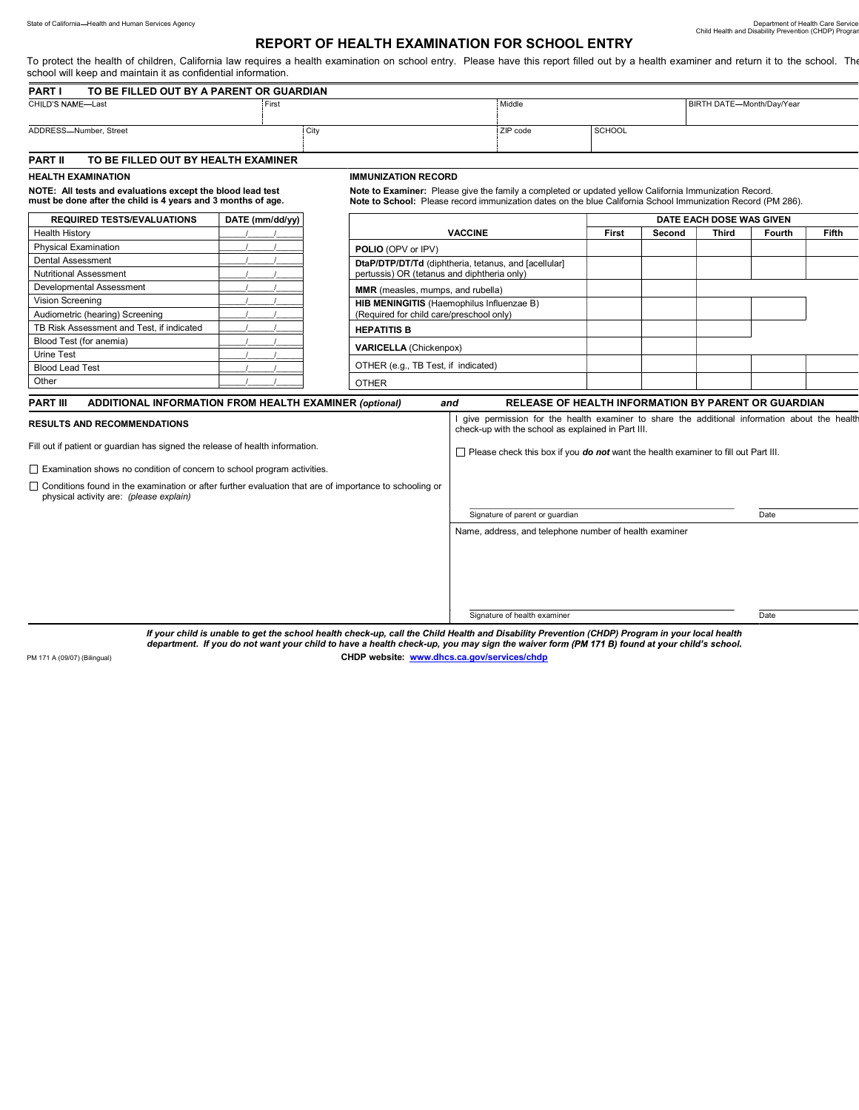## REPORT OF HEALTH EXAMINATION FOR SCHOOL ENTRY

To protect the health of children, California law requires a health examination on school entry. Please have this report filled out by a health examiner and return it to the school. The

| school will keep and maintain it as confidential information.                                                              |                            |                                                                                   |                                                                                                                                                                                                                                                                                 |                          |                           |        |                                                                                                                                                                                                                                                                                                                                                                                                                     |  |
|----------------------------------------------------------------------------------------------------------------------------|----------------------------|-----------------------------------------------------------------------------------|---------------------------------------------------------------------------------------------------------------------------------------------------------------------------------------------------------------------------------------------------------------------------------|--------------------------|---------------------------|--------|---------------------------------------------------------------------------------------------------------------------------------------------------------------------------------------------------------------------------------------------------------------------------------------------------------------------------------------------------------------------------------------------------------------------|--|
|                                                                                                                            |                            |                                                                                   |                                                                                                                                                                                                                                                                                 |                          |                           |        |                                                                                                                                                                                                                                                                                                                                                                                                                     |  |
| First                                                                                                                      |                            | Middle                                                                            |                                                                                                                                                                                                                                                                                 |                          | BIRTH DATE-Month/Day/Year |        |                                                                                                                                                                                                                                                                                                                                                                                                                     |  |
|                                                                                                                            |                            | ZIP code                                                                          | SCHOOL                                                                                                                                                                                                                                                                          |                          |                           |        |                                                                                                                                                                                                                                                                                                                                                                                                                     |  |
| TO BE FILLED OUT BY HEALTH EXAMINER                                                                                        |                            |                                                                                   |                                                                                                                                                                                                                                                                                 |                          |                           |        |                                                                                                                                                                                                                                                                                                                                                                                                                     |  |
|                                                                                                                            | <b>IMMUNIZATION RECORD</b> |                                                                                   |                                                                                                                                                                                                                                                                                 |                          |                           |        |                                                                                                                                                                                                                                                                                                                                                                                                                     |  |
| NOTE: All tests and evaluations except the blood lead test<br>must be done after the child is 4 years and 3 months of age. |                            |                                                                                   |                                                                                                                                                                                                                                                                                 |                          |                           |        |                                                                                                                                                                                                                                                                                                                                                                                                                     |  |
| DATE (mm/dd/yy)                                                                                                            |                            |                                                                                   |                                                                                                                                                                                                                                                                                 | DATE EACH DOSE WAS GIVEN |                           |        |                                                                                                                                                                                                                                                                                                                                                                                                                     |  |
|                                                                                                                            | <b>VACCINE</b>             |                                                                                   | First                                                                                                                                                                                                                                                                           | Second                   | Third                     | Fourth | <b>Fifth</b>                                                                                                                                                                                                                                                                                                                                                                                                        |  |
|                                                                                                                            | <b>POLIO (OPV or IPV)</b>  |                                                                                   |                                                                                                                                                                                                                                                                                 |                          |                           |        |                                                                                                                                                                                                                                                                                                                                                                                                                     |  |
|                                                                                                                            |                            |                                                                                   |                                                                                                                                                                                                                                                                                 |                          |                           |        |                                                                                                                                                                                                                                                                                                                                                                                                                     |  |
|                                                                                                                            |                            |                                                                                   |                                                                                                                                                                                                                                                                                 |                          |                           |        |                                                                                                                                                                                                                                                                                                                                                                                                                     |  |
|                                                                                                                            |                            |                                                                                   |                                                                                                                                                                                                                                                                                 |                          |                           |        |                                                                                                                                                                                                                                                                                                                                                                                                                     |  |
|                                                                                                                            |                            |                                                                                   |                                                                                                                                                                                                                                                                                 |                          |                           |        |                                                                                                                                                                                                                                                                                                                                                                                                                     |  |
|                                                                                                                            |                            |                                                                                   |                                                                                                                                                                                                                                                                                 |                          |                           |        |                                                                                                                                                                                                                                                                                                                                                                                                                     |  |
|                                                                                                                            | <b>HEPATITIS B</b>         |                                                                                   |                                                                                                                                                                                                                                                                                 |                          |                           |        |                                                                                                                                                                                                                                                                                                                                                                                                                     |  |
|                                                                                                                            |                            |                                                                                   |                                                                                                                                                                                                                                                                                 |                          |                           |        |                                                                                                                                                                                                                                                                                                                                                                                                                     |  |
|                                                                                                                            |                            |                                                                                   |                                                                                                                                                                                                                                                                                 |                          |                           |        |                                                                                                                                                                                                                                                                                                                                                                                                                     |  |
|                                                                                                                            |                            |                                                                                   |                                                                                                                                                                                                                                                                                 |                          |                           |        |                                                                                                                                                                                                                                                                                                                                                                                                                     |  |
|                                                                                                                            | <b>OTHER</b>               |                                                                                   |                                                                                                                                                                                                                                                                                 |                          |                           |        |                                                                                                                                                                                                                                                                                                                                                                                                                     |  |
|                                                                                                                            |                            | TO BE FILLED OUT BY A PARENT OR GUARDIAN<br>City<br><b>VARICELLA (Chickenpox)</b> | DtaP/DTP/DT/Td (diphtheria, tetanus, and [acellular]<br>pertussis) OR (tetanus and diphtheria only)<br><b>MMR</b> (measles, mumps, and rubella)<br>HIB MENINGITIS (Haemophilus Influenzae B)<br>(Required for child care/preschool only)<br>OTHER (e.g., TB Test, if indicated) |                          |                           |        | TO protect the health of children, California law requires a nealth examination on school entry. Please have this report filled out by a nealth examiner and return it to the school. The<br>Note to Examiner: Please give the family a completed or updated yellow California Immunization Record.<br>Note to School: Please record immunization dates on the blue California School Immunization Record (PM 286). |  |

| <b>RESULTS AND RECOMMENDATIONS</b>                                                                                                                       | I give permission for the health examiner to share the additional information about the health<br>check-up with the school as explained in Part III. |      |  |  |  |  |
|----------------------------------------------------------------------------------------------------------------------------------------------------------|------------------------------------------------------------------------------------------------------------------------------------------------------|------|--|--|--|--|
| Fill out if patient or guardian has signed the release of health information.                                                                            | $\Box$ Please check this box if you <b>do not</b> want the health examiner to fill out Part III.                                                     |      |  |  |  |  |
| $\Box$ Examination shows no condition of concern to school program activities.                                                                           |                                                                                                                                                      |      |  |  |  |  |
| $\Box$ Conditions found in the examination or after further evaluation that are of importance to schooling or<br>physical activity are: (please explain) |                                                                                                                                                      |      |  |  |  |  |
|                                                                                                                                                          | Signature of parent or guardian                                                                                                                      | Date |  |  |  |  |
|                                                                                                                                                          | Name, address, and telephone number of health examiner                                                                                               |      |  |  |  |  |
|                                                                                                                                                          |                                                                                                                                                      |      |  |  |  |  |
|                                                                                                                                                          |                                                                                                                                                      |      |  |  |  |  |
|                                                                                                                                                          |                                                                                                                                                      |      |  |  |  |  |
|                                                                                                                                                          |                                                                                                                                                      |      |  |  |  |  |
|                                                                                                                                                          | Signature of health examiner                                                                                                                         | Date |  |  |  |  |

PART III ADDITIONAL INFORMATION FROM HEALTH EXAMINER (optional) and RELEASE OF HEALTH INFORMATION BY PARENT OR GUARDIAN

If your child is unable to get the school health check-up, call the Child Health and Disability Prevention (CHDP) Program in your local health<br>department. If you do not want your child to have a health check-up, you may si PM 171 A (09/07) (Bilingual) **CHDP website:** www.dhcs.ca.gov/services/chdp